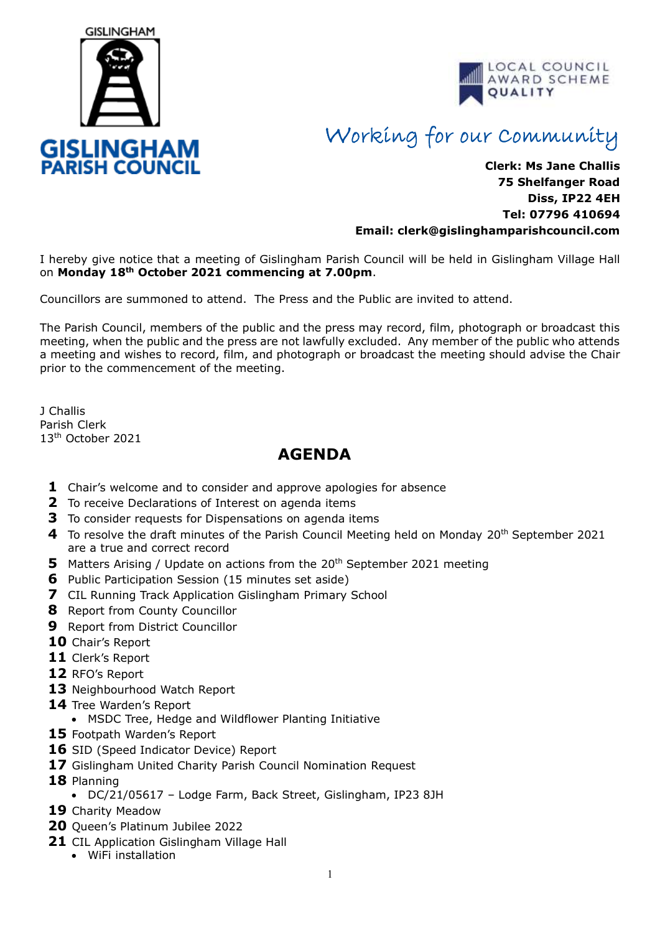



## Working for our Community

## **Clerk: Ms Jane Challis 75 Shelfanger Road Diss, IP22 4EH Tel: 07796 410694 Email: clerk[@gislinghamparishcouncil.com](mailto:gislinghamparishcouncil@gmail.com)**

I hereby give notice that a meeting of Gislingham Parish Council will be held in Gislingham Village Hall on **Monday 18th October 2021 commencing at 7.00pm**.

Councillors are summoned to attend. The Press and the Public are invited to attend.

The Parish Council, members of the public and the press may record, film, photograph or broadcast this meeting, when the public and the press are not lawfully excluded. Any member of the public who attends a meeting and wishes to record, film, and photograph or broadcast the meeting should advise the Chair prior to the commencement of the meeting.

J Challis Parish Clerk 13th October 2021

## **AGENDA**

- **1** Chair's welcome and to consider and approve apologies for absence
- **2** To receive Declarations of Interest on agenda items
- **3** To consider requests for Dispensations on agenda items
- **4** To resolve the draft minutes of the Parish Council Meeting held on Monday 20th September 2021 are a true and correct record
- **5** Matters Arising / Update on actions from the 20<sup>th</sup> September 2021 meeting
- **6** Public Participation Session (15 minutes set aside)
- **7** CIL Running Track Application Gislingham Primary School
- **8** Report from County Councillor
- **9** Report from District Councillor
- **10** Chair's Report
- **11** Clerk's Report
- **12** RFO's Report
- **13** Neighbourhood Watch Report
- **14** Tree Warden's Report
	- MSDC Tree, Hedge and Wildflower Planting Initiative
- **15** Footpath Warden's Report
- **16** SID (Speed Indicator Device) Report
- **17** Gislingham United Charity Parish Council Nomination Request
- **18** Planning
	- DC/21/05617 Lodge Farm, Back Street, Gislingham, IP23 8JH
- **19** Charity Meadow
- **20** Queen's Platinum Jubilee 2022
- **21** CIL Application Gislingham Village Hall
	- WiFi installation